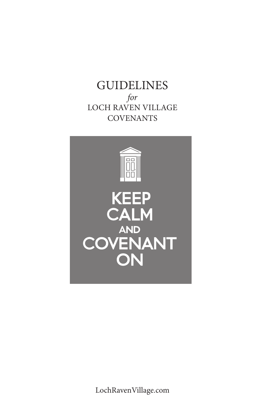**GUIDELINES** *for* LOCH RAVEN VILLAGE **COVENANTS** 



LochRavenVillage.com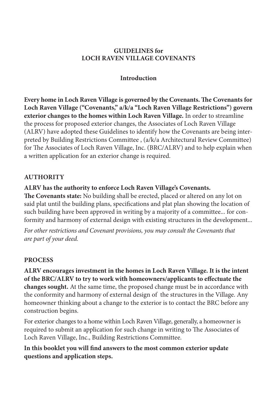#### **GUIDELINES for LOCH RAVEN VILLAGE COVENANTS**

#### **Introduction**

**Every home in Loch Raven Village is governed by the Covenants. The Covenants for Loch Raven Village ("Covenants," a/k/a "Loch Raven Village Restrictions") govern exterior changes to the homes within Loch Raven Village.** In order to streamline the process for proposed exterior changes, the Associates of Loch Raven Village (ALRV) have adopted these Guidelines to identify how the Covenants are being interpreted by Building Restrictions Committee , (a/k/a Architectural Review Committee) for The Associates of Loch Raven Village, Inc. (BRC/ALRV) and to help explain when a written application for an exterior change is required.

### **AUTHORITY**

### **ALRV has the authority to enforce Loch Raven Village's Covenants.**

**The Covenants state:** No building shall be erected, placed or altered on any lot on said plat until the building plans, specifications and plat plan showing the location of such building have been approved in writing by a majority of a committee... for conformity and harmony of external design with existing structures in the development...

*For other restrictions and Covenant provisions, you may consult the Covenants that are part of your deed.* 

### **PROCESS**

**ALRV encourages investment in the homes in Loch Raven Village. It is the intent of the BRC/ALRV to try to work with homeowners/applicants to effectuate the changes sought.** At the same time, the proposed change must be in accordance with the conformity and harmony of external design of the structures in the Village. Any homeowner thinking about a change to the exterior is to contact the BRC before any construction begins.

For exterior changes to a home within Loch Raven Village, generally, a homeowner is required to submit an application for such change in writing to The Associates of Loch Raven Village, Inc., Building Restrictions Committee.

**In this booklet you will find answers to the most common exterior update questions and application steps.**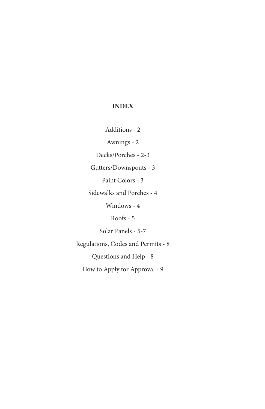#### **INDEX**

Additions - 2

Awnings - 2

Decks/Porches - 2-3

Gutters/Downspouts - 3

Paint Colors - 3

Sidewalks and Porches - 4

Windows - 4

Roofs - 5

Solar Panels - 5-7

Regulations, Codes and Permits - 8 Questions and Help - 8 How to Apply for Approval - 9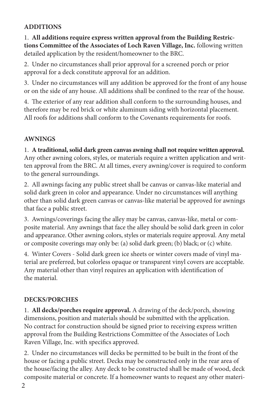## **ADDITIONS**

1. **All additions require express written approval from the Building Restrictions Committee of the Associates of Loch Raven Village, Inc.** following written detailed application by the resident/homeowner to the BRC.

2. Under no circumstances shall prior approval for a screened porch or prior approval for a deck constitute approval for an addition.

3. Under no circumstances will any addition be approved for the front of any house or on the side of any house. All additions shall be confined to the rear of the house.

4. The exterior of any rear addition shall conform to the surrounding houses, and therefore may be red brick or white aluminum siding with horizontal placement. All roofs for additions shall conform to the Covenants requirements for roofs.

## **AWNINGS**

1. **A traditional, solid dark green canvas awning shall not require written approval.**  Any other awning colors, styles, or materials require a written application and written approval from the BRC. At all times, every awning/cover is required to conform to the general surroundings.

2. All awnings facing any public street shall be canvas or canvas-like material and solid dark green in color and appearance. Under no circumstances will anything other than solid dark green canvas or canvas-like material be approved for awnings that face a public street.

3. Awnings/coverings facing the alley may be canvas, canvas-like, metal or composite material. Any awnings that face the alley should be solid dark green in color and appearance. Other awning colors, styles or materials require approval. Any metal or composite coverings may only be: (a) solid dark green; (b) black; or (c) white.

4. Winter Covers - Solid dark green ice sheets or winter covers made of vinyl material are preferred, but colorless opaque or transparent vinyl covers are acceptable. Any material other than vinyl requires an application with identification of the material.

## **DECKS/PORCHES**

1. **All decks/porches require approval.** A drawing of the deck/porch, showing dimensions, position and materials should be submitted with the application. No contract for construction should be signed prior to receiving express written approval from the Building Restrictions Committee of the Associates of Loch Raven Village, Inc. with specifics approved.

2. Under no circumstances will decks be permitted to be built in the front of the house or facing a public street. Decks may be constructed only in the rear area of the house/facing the alley. Any deck to be constructed shall be made of wood, deck composite material or concrete. If a homeowner wants to request any other materi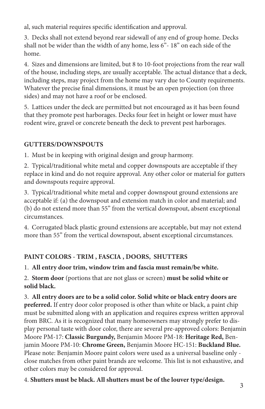al, such material requires specific identification and approval.

3. Decks shall not extend beyond rear sidewall of any end of group home. Decks shall not be wider than the width of any home, less 6"- 18" on each side of the home.

4. Sizes and dimensions are limited, but 8 to 10-foot projections from the rear wall of the house, including steps, are usually acceptable. The actual distance that a deck, including steps, may project from the home may vary due to County requirements. Whatever the precise final dimensions, it must be an open projection (on three sides) and may not have a roof or be enclosed.

5. Lattices under the deck are permitted but not encouraged as it has been found that they promote pest harborages. Decks four feet in height or lower must have rodent wire, gravel or concrete beneath the deck to prevent pest harborages.

# **GUTTERS/DOWNSPOUTS**

1. Must be in keeping with original design and group harmony.

2. Typical/traditional white metal and copper downspouts are acceptable if they replace in kind and do not require approval. Any other color or material for gutters and downspouts require approval.

3. Typical/traditional white metal and copper downspout ground extensions are acceptable if: (a) the downspout and extension match in color and material; and (b) do not extend more than 55" from the vertical downspout, absent exceptional circumstances.

4. Corrugated black plastic ground extensions are acceptable, but may not extend more than 55" from the vertical downspout, absent exceptional circumstances.

# **PAINT COLORS - TRIM , FASCIA , DOORS, SHUTTERS**

1. **All entry door trim, window trim and fascia must remain/be white.**

2. **Storm door** (portions that are not glass or screen) **must be solid white or solid black.**

3. **All entry doors are to be a solid color. Solid white or black entry doors are preferred.** If entry door color proposed is other than white or black, a paint chip must be submitted along with an application and requires express written approval from BRC. As it is recognized that many homeowners may strongly prefer to display personal taste with door color, there are several pre-approved colors: Benjamin Moore PM-17: **Classic Burgundy,** Benjamin Moore PM-18: **Heritage Red,** Benjamin Moore PM-10: **Chrome Green,** Benjamin Moore HC-151: **Buckland Blue.** Please note: Benjamin Moore paint colors were used as a universal baseline only close matches from other paint brands are welcome. This list is not exhaustive, and other colors may be considered for approval.

4. **Shutters must be black. All shutters must be of the louver type/design.** 3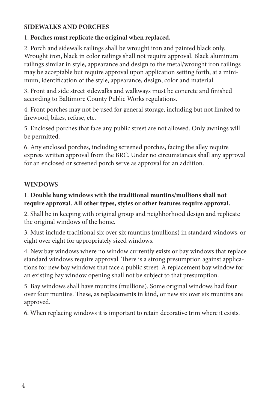### **SIDEWALKS AND PORCHES**

### 1. **Porches must replicate the original when replaced.**

2. Porch and sidewalk railings shall be wrought iron and painted black only. Wrought iron, black in color railings shall not require approval. Black aluminum railings similar in style, appearance and design to the metal/wrought iron railings may be acceptable but require approval upon application setting forth, at a minimum, identification of the style, appearance, design, color and material.

3. Front and side street sidewalks and walkways must be concrete and finished according to Baltimore County Public Works regulations.

4. Front porches may not be used for general storage, including but not limited to firewood, bikes, refuse, etc.

5. Enclosed porches that face any public street are not allowed. Only awnings will be permitted.

6. Any enclosed porches, including screened porches, facing the alley require express written approval from the BRC. Under no circumstances shall any approval for an enclosed or screened porch serve as approval for an addition.

## **WINDOWS**

## 1. **Double hung windows with the traditional muntins/mullions shall not require approval. All other types, styles or other features require approval.**

2. Shall be in keeping with original group and neighborhood design and replicate the original windows of the home.

3. Must include traditional six over six muntins (mullions) in standard windows, or eight over eight for appropriately sized windows.

4. New bay windows where no window currently exists or bay windows that replace standard windows require approval. There is a strong presumption against applications for new bay windows that face a public street. A replacement bay window for an existing bay window opening shall not be subject to that presumption.

5. Bay windows shall have muntins (mullions). Some original windows had four over four muntins. These, as replacements in kind, or new six over six muntins are approved.

6. When replacing windows it is important to retain decorative trim where it exists.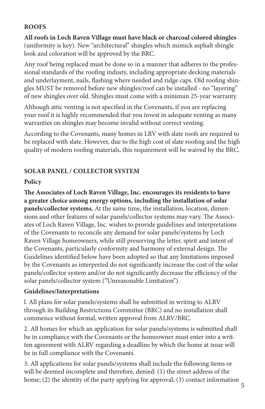## **ROOFS**

**All roofs in Loch Raven Village must have black or charcoal colored shingles** (uniformity is key). New "architectural" shingles which mimick asphalt shingle look and coloration will be approved by the BRC.

Any roof being replaced must be done so in a manner that adheres to the professional standards of the roofing industy, including appropriate decking materials and underlayment, nails, flashing where needed and ridge caps. Old roofing shingles MUST be removed before new shingles/roof can be installed - no "layering" of new shingles over old. Shingles must come with a minimun 25-year warranty.

Although attic venting is not specified in the Covenants, if you are replacing your roof it is highly recommended that you invest in adequate venting as many warranties on shingles may become invalid without correct venting.

According to the Covenants, many homes in LRV with slate roofs are required to be replaced with slate. However, due to the high cost of slate roofing and the high quality of modern roofing materials, this requirement will be waived by the BRC.

### **SOLAR PANEL / COLLECTOR SYSTEM**

### **Policy**

**The Associates of Loch Raven Village, Inc. encourages its residents to have a greater choice among energy options, including the installation of solar panels/collector systems.** At the same time, the installation, location, dimensions and other features of solar panels/collector systems may vary. The Associates of Loch Raven Village, Inc. wishes to provide guidelines and interpretations of the Covenants to reconcile any demand for solar panels/systems by Loch Raven Village homeowners, while still preserving the letter, spirit and intent of the Covenants, particularly conformity and harmony of external design. The Guidelines identified below have been adopted so that any limitations imposed by the Covenants as interpreted do not significantly increase the cost of the solar panels/collector system and/or do not significantly decrease the efficiency of the solar panels/collector system ("Unreasonable Limitation").

### **Guidelines/Interpretations**

l. All plans for solar panels/systems shall be submitted in writing to ALRV through its Building Restrictions Committee (BRC) and no installation shall commence without formal, written approval from ALRV/BRC.

2. All homes for which an application for solar panels/systems is submitted shall be in compliance with the Covenants or the homeowner must enter into a written agreement with ALRV regarding a deadline by which the home at issue will be in full compliance with the Covenants.

3. All applications for solar panels/systems shall include the following items or will be deemed incomplete and therefore, denied: (1) the street address of the home; (2) the identity of the party applying for approval; (3) contact information 5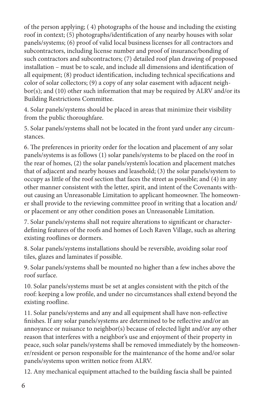of the person applying; ( 4) photographs of the house and including the existing roof in context; (5) photographs/identification of any nearby houses with solar panels/systems; (6) proof of valid local business licenses for all contractors and subcontractors, including license number and proof of insurance/bonding of such contractors and subcontractors; (7) detailed roof plan drawing of proposed installation – must be to scale, and include all dimensions and identification of all equipment; (8) product identification, including technical specifications and color of solar collectors; (9) a copy of any solar easement with adjacent neighbor(s); and (10) other such information that may be required by ALRV and/or its Building Restrictions Committee.

4. Solar panels/systems should be placed in areas that minimize their visibility from the public thoroughfare.

5. Solar panels/systems shall not be located in the front yard under any circumstances.

6. The preferences in priority order for the location and placement of any solar panels/systems is as follows (1) solar panels/systems to be placed on the roof in the rear of homes, (2) the solar panels/system's location and placement matches that of adjacent and nearby houses and leasehold; (3) the solar panels/system to occupy as little of the roof section that faces the street as possible; and (4) in any other manner consistent with the letter, spirit, and intent of the Covenants without causing an Unreasonable Limitation to applicant homeowner. The homeowner shall provide to the reviewing committee proof in writing that a location and/ or placement or any other condition poses an Unreasonable Limitation.

7. Solar panels/systems shall not require alterations to significant or characterdefining features of the roofs and homes of Loch Raven Village, such as altering existing rooflines or dormers.

8. Solar panels/systems installations should be reversible, avoiding solar roof tiles, glazes and laminates if possible.

9. Solar panels/systems shall be mounted no higher than a few inches above the roof surface.

10. Solar panels/systems must be set at angles consistent with the pitch of the roof: keeping a low profile, and under no circumstances shall extend beyond the existing roofline.

11. Solar panels/systems and any and all equipment shall have non-reflective finishes. If any solar panels/systems are determined to be reflective and/or an annoyance or nuisance to neighbor(s) because of relected light and/or any other reason that interferes with a neighbor's use and enjoyment of their property in peace, such solar panels/systems shall be removed immediately by the homeowner/resident or person responsible for the maintenance of the home and/or solar panels/systems upon written notice from ALRV.

12. Any mechanical equipment attached to the building fascia shall be painted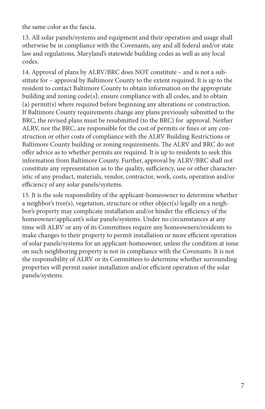the same color as the fascia.

13. All solar panels/systems and equipment and their operation and usage shall otherwise be in compliance with the Covenants, any and all federal and/or state law and regulations, Maryland's statewide building codes as well as any local codes.

14. Approval of plans by ALRV/BRC does NOT constitute – and is not a substitute for – approval by Baltimore County to the extent required. It is up to the resident to contact Baltimore County to obtain information on the appropriate building and zoning code(s), ensure compliance with all codes, and to obtain (a) permit(s) where required before beginning any alterations or construction. If Baltimore County requirements change any plans previously submitted to the BRC, the revised plans must be resubmitted (to the BRC) for approval. Neither ALRV, nor the BRC, are responsible for the cost of permits or fines or any construction or other costs of compliance with the ALRV Building Restrictions or Baltimore County building or zoning requirements. The ALRV and BRC do not offer advice as to whether permits are required. It is up to residents to seek this information from Baltimore County. Further, approval by ALRV/BRC shall not constitute any representation as to the quality, sufficiency, use or other characteristic of any product, materials, vendor, contractor, work, costs, operation and/or efficiency of any solar panels/systems.

15. It is the sole responsibility of the applicant-homeowner to determine whether a neighbor's tree(s), vegetation, structure or other object(s) legally on a neighbor's property may complicate installation and/or hinder the efficiency of the homeowner/applicant's solar panels/systems. Under no circumstances at any time will ALRV or any of its Committees require any homeowners/residents to make changes to their property to permit installation or more efficient operation of solar panels/systems for an applicant-homeowner, unless the condition at issue on such neighboring property is not in compliance with the Covenants. It is not the responsibility of ALRV or its Committees to determine whether surrounding properties will permit easier installation and/or efficient operation of the solar panels/systems.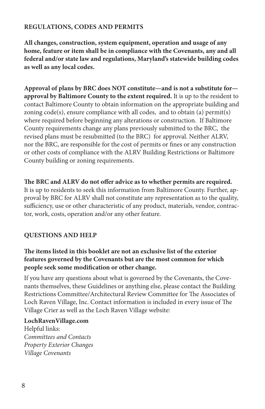#### **REGULATIONS, CODES AND PERMITS**

**All changes, construction, system equipment, operation and usage of any home, feature or item shall be in compliance with the Covenants, any and all federal and/or state law and regulations, Maryland's statewide building codes as well as any local codes.**

**Approval of plans by BRC does NOT constitute—and is not a substitute for approval by Baltimore County to the extent required.** It is up to the resident to contact Baltimore County to obtain information on the appropriate building and zoning  $code(s)$ , ensure compliance with all codes, and to obtain (a) permit(s) where required before beginning any alterations or construction. If Baltimore County requirements change any plans previously submitted to the BRC, the revised plans must be resubmitted (to the BRC) for approval. Neither ALRV, nor the BRC, are responsible for the cost of permits or fines or any construction or other costs of compliance with the ALRV Building Restrictions or Baltimore County building or zoning requirements.

#### **The BRC and ALRV do not offer advice as to whether permits are required.**

It is up to residents to seek this information from Baltimore County. Further, approval by BRC for ALRV shall not constitute any representation as to the quality, sufficiency, use or other characteristic of any product, materials, vendor, contractor, work, costs, operation and/or any other feature.

### **QUESTIONS AND HELP**

#### **The items listed in this booklet are not an exclusive list of the exterior features governed by the Covenants but are the most common for which people seek some modification or other change.**

If you have any questions about what is governed by the Covenants, the Covenants themselves, these Guidelines or anything else, please contact the Building Restrictions Committee/Architectural Review Committee for The Associates of Loch Raven Village, Inc. Contact information is included in every issue of The Village Crier as well as the Loch Raven Village website:

#### **LochRavenVillage.com**

Helpful links: *Committees and Contacts Property Exterior Changes Village Covenants*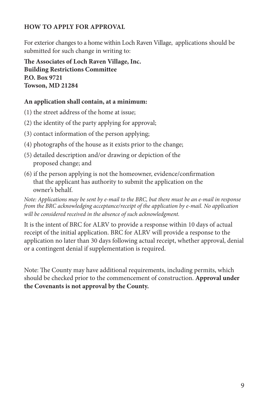### **HOW TO APPLY FOR APPROVAL**

For exterior changes to a home within Loch Raven Village, applications should be submitted for such change in writing to:

**The Associates of Loch Raven Village, Inc. Building Restrictions Committee P.O. Box 9721 Towson, MD 21284** 

#### **An application shall contain, at a minimum:**

- (1) the street address of the home at issue;
- (2) the identity of the party applying for approval;
- (3) contact information of the person applying;
- (4) photographs of the house as it exists prior to the change;
- (5) detailed description and/or drawing or depiction of the proposed change; and
- (6) if the person applying is not the homeowner, evidence/confirmation that the applicant has authority to submit the application on the owner's behalf.

*Note: Applications may be sent by e-mail to the BRC, but there must be an e-mail in response from the BRC acknowledging acceptance/receipt of the application by e-mail. No application will be considered received in the absence of such acknowledgment.*

It is the intent of BRC for ALRV to provide a response within 10 days of actual receipt of the initial application. BRC for ALRV will provide a response to the application no later than 30 days following actual receipt, whether approval, denial or a contingent denial if supplementation is required.

Note: The County may have additional requirements, including permits, which should be checked prior to the commencement of construction. **Approval under the Covenants is not approval by the County.**